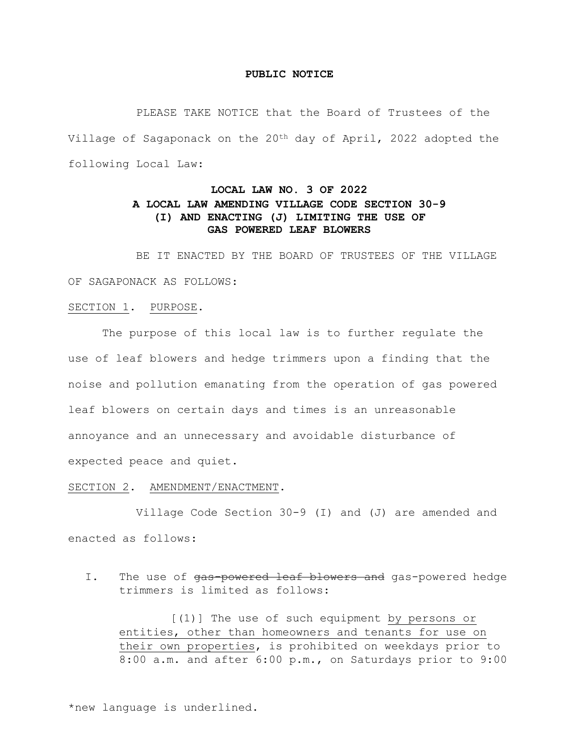### **PUBLIC NOTICE**

 PLEASE TAKE NOTICE that the Board of Trustees of the Village of Sagaponack on the 20th day of April, 2022 adopted the following Local Law:

# **LOCAL LAW NO. 3 OF 2022 A LOCAL LAW AMENDING VILLAGE CODE SECTION 30-9 (I) AND ENACTING (J) LIMITING THE USE OF GAS POWERED LEAF BLOWERS**

 BE IT ENACTED BY THE BOARD OF TRUSTEES OF THE VILLAGE OF SAGAPONACK AS FOLLOWS:

## SECTION 1. PURPOSE.

 The purpose of this local law is to further regulate the use of leaf blowers and hedge trimmers upon a finding that the noise and pollution emanating from the operation of gas powered leaf blowers on certain days and times is an unreasonable annoyance and an unnecessary and avoidable disturbance of expected peace and quiet.

#### SECTION 2. AMENDMENT/ENACTMENT.

 Village Code Section 30-9 (I) and (J) are amended and enacted as follows:

I. The use of gas-powered leaf blowers and gas-powered hedge trimmers is limited as follows:

 [(1)] The use of such equipment by persons or entities, other than homeowners and tenants for use on their own properties, is prohibited on weekdays prior to 8:00 a.m. and after 6:00 p.m., on Saturdays prior to 9:00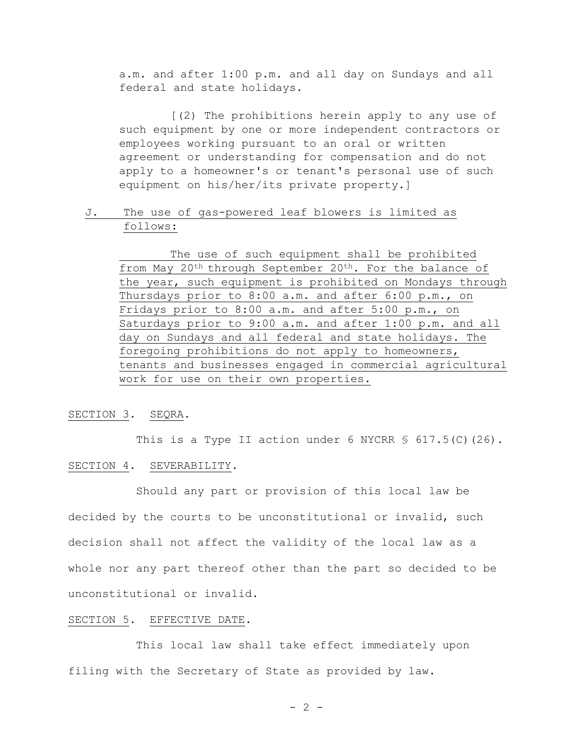a.m. and after 1:00 p.m. and all day on Sundays and all federal and state holidays.

 [(2) The prohibitions herein apply to any use of such equipment by one or more independent contractors or employees working pursuant to an oral or written agreement or understanding for compensation and do not apply to a homeowner's or tenant's personal use of such equipment on his/her/its private property.]

# J. The use of gas-powered leaf blowers is limited as follows:

 The use of such equipment shall be prohibited from May 20<sup>th</sup> through September 20<sup>th</sup>. For the balance of the year, such equipment is prohibited on Mondays through Thursdays prior to 8:00 a.m. and after 6:00 p.m., on Fridays prior to 8:00 a.m. and after 5:00 p.m., on Saturdays prior to 9:00 a.m. and after 1:00 p.m. and all day on Sundays and all federal and state holidays. The foregoing prohibitions do not apply to homeowners, tenants and businesses engaged in commercial agricultural work for use on their own properties.

## SECTION 3. SEQRA.

This is a Type II action under 6 NYCRR  $$617.5(C) (26)$ . SECTION 4. SEVERABILITY.

 Should any part or provision of this local law be decided by the courts to be unconstitutional or invalid, such decision shall not affect the validity of the local law as a whole nor any part thereof other than the part so decided to be unconstitutional or invalid.

### SECTION 5. EFFECTIVE DATE.

 This local law shall take effect immediately upon filing with the Secretary of State as provided by law.

 $- 2 -$